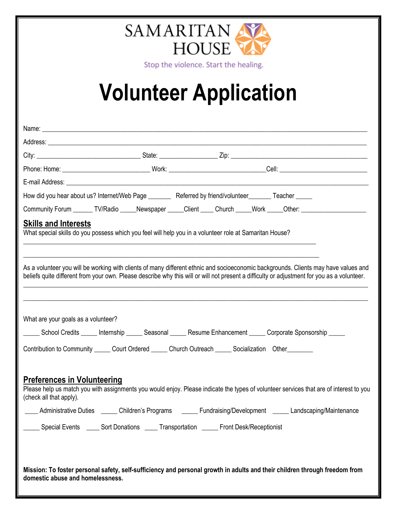

Stop the violence. Start the healing.

## **Volunteer Application**

|                                                                                               | How did you hear about us? Internet/Web Page _______ Referred by friend/volunteer _____ Teacher ____                                                                                                                                                                               |                         |                         |
|-----------------------------------------------------------------------------------------------|------------------------------------------------------------------------------------------------------------------------------------------------------------------------------------------------------------------------------------------------------------------------------------|-------------------------|-------------------------|
|                                                                                               | Community Forum _______ TV/Radio _____ Newspaper _____ Client _____ Church _____ Work _____Other: ____________                                                                                                                                                                     |                         |                         |
| <b>Skills and Interests</b>                                                                   | What special skills do you possess which you feel will help you in a volunteer role at Samaritan House?                                                                                                                                                                            |                         |                         |
|                                                                                               | As a volunteer you will be working with clients of many different ethnic and socioeconomic backgrounds. Clients may have values and<br>beliefs quite different from your own. Please describe why this will or will not present a difficulty or adjustment for you as a volunteer. |                         |                         |
| What are your goals as a volunteer?                                                           | School Credits _____ Internship _____ Seasonal _____ Resume Enhancement _____ Corporate Sponsorship _____<br>Contribution to Community ______ Court Ordered ______ Church Outreach ______ Socialization Other ________                                                             |                         |                         |
| <b>Preferences in Volunteering</b><br>(check all that apply).<br><b>Administrative Duties</b> | Please help us match you with assignments you would enjoy. Please indicate the types of volunteer services that are of interest to you<br>Children's Programs                                                                                                                      | Fundraising/Development | Landscaping/Maintenance |
|                                                                                               | __ Special Events ____ Sort Donations ____ Transportation _____ Front Desk/Receptionist                                                                                                                                                                                            |                         |                         |
| domestic abuse and homelessness.                                                              | Mission: To foster personal safety, self-sufficiency and personal growth in adults and their children through freedom from                                                                                                                                                         |                         |                         |